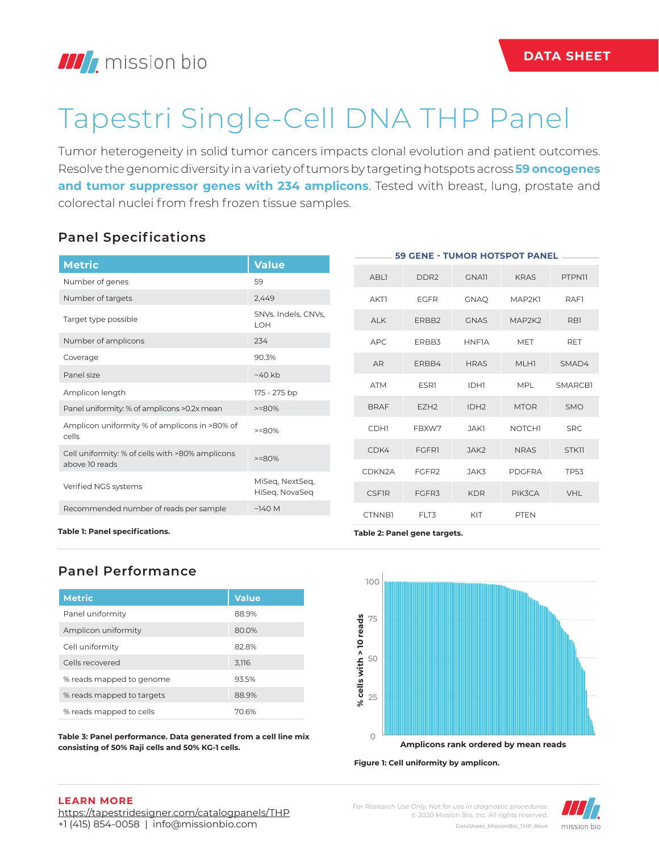# Tapestri Single-Cell DNA THP Panel

Tumor heterogeneity in solid tumor cancers impacts clonal evolution and patient outcomes. Resolve the genomic diversity in a variety of tumors by targeting hotspots across **59 oncogenes**  and tumor suppressor genes with 234 amplicons. Tested with breast, lung, prostate and colorectal nuclei from fresh frozen tissue samples.

# **Panel Specifications**

| <b>Metric</b>                                          | <b>Value</b>                      |  |               |                  |                  | <b>59 GENE - TUMOR HOTSPOT PANEL</b> |               |
|--------------------------------------------------------|-----------------------------------|--|---------------|------------------|------------------|--------------------------------------|---------------|
| Number of genes                                        | 59                                |  | <b>ABLI</b>   | DDR <sub>2</sub> | <b>GNAII</b>     | <b>KRAS</b>                          | <b>PTPN11</b> |
| Number of targets                                      | 2,449                             |  | <b>AKTI</b>   | <b>EGFR</b>      | <b>GNAQ</b>      | MAP2K1                               | RAF1          |
| Target type possible                                   | SNVs. Indels, CNVs,<br><b>LOH</b> |  | <b>ALK</b>    | ERBB2            | <b>GNAS</b>      | MAP2K2                               | RB1           |
| Number of amplicons                                    | 234                               |  | <b>APC</b>    | ERBB3            | <b>HNFIA</b>     | <b>MET</b>                           | RET           |
| Coverage                                               | 90.3%                             |  | <b>AR</b>     | ERBB4            | <b>HRAS</b>      | MLH1                                 | SMAD4         |
| Panel size                                             | $~40$ kb                          |  |               |                  |                  |                                      |               |
| Amplicon length                                        | 175 - 275 bp                      |  | <b>ATM</b>    | <b>ESR1</b>      | IDH1             | <b>MPL</b>                           | SMARCB1       |
| Panel uniformity: % of amplicons >0.2x mean            | $>=80%$                           |  | <b>BRAF</b>   | EZH <sub>2</sub> | IDH <sub>2</sub> | <b>MTOR</b>                          | <b>SMO</b>    |
| Amplicon uniformity % of amplicons in >80% of<br>cells | $>=80%$                           |  | <b>CDH1</b>   | FBXW7            | JAK1             | <b>NOTCH1</b>                        | <b>SRC</b>    |
| Cell uniformity: % of cells with >80% amplicons        | $>=80%$                           |  | CDK4          | <b>FGFR1</b>     | JAK <sub>2</sub> | <b>NRAS</b>                          | STK11         |
| above 10 reads                                         |                                   |  | CDKN2A        | FGFR2            | JAK3             | <b>PDGFRA</b>                        | <b>TP53</b>   |
| Verified NGS systems                                   | MiSeg, NextSeg,<br>HiSeq, NovaSeq |  | <b>CSFIR</b>  | FGFR3            | <b>KDR</b>       | PIK3CA                               | <b>VHL</b>    |
| Recommended number of reads per sample                 | $~\sim$ 140 M                     |  | <b>CTNNB1</b> | FLT3             | KIT              | <b>PTEN</b>                          |               |

**Table 1: Panel specifications.**

# **Panel Performance**

| <b>Metric</b>             | <b>Value</b> |
|---------------------------|--------------|
| Panel uniformity          | 88.9%        |
| Amplicon uniformity       | 80.0%        |
| Cell uniformity           | 82.8%        |
| Cells recovered           | 3,116        |
| % reads mapped to genome  | 93.5%        |
| % reads mapped to targets | 88.9%        |
| % reads mapped to cells   | 70.6%        |

**Table 3: Panel performance. Data generated from a cell line mix consisting of 50% Raji cells and 50% KG-1 cells.** 





**Table 2: Panel gene targets.**

#### **LEARN MORE**

https://tapestridesigner.com/catalogpanels/THP +1 (415) 854-0058 | info@missionbio.com

*For Research Use Only. Not for use in diagnostic procedures.* © 2020 Mission Bio, Inc. All rights reserved. DataSheet\_MissionBio\_THP\_RevA

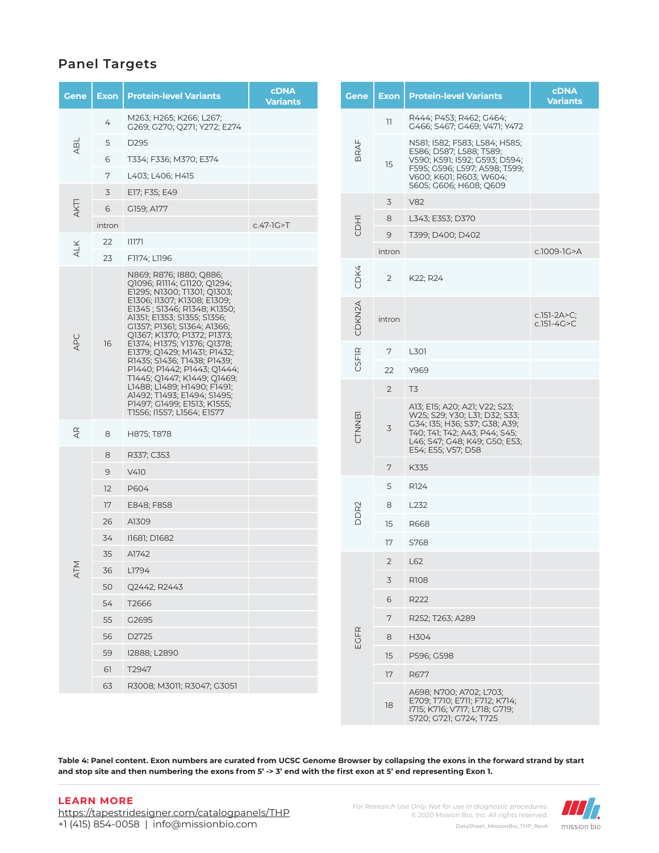## **Panel Targets**

| Gene           | <b>Exon</b> | <b>Protein-level Variants</b>                                                                                                                                                                                                                                                                                                                                                                                                                                                                                                          | <b>cDNA</b><br><b>Variants</b> |
|----------------|-------------|----------------------------------------------------------------------------------------------------------------------------------------------------------------------------------------------------------------------------------------------------------------------------------------------------------------------------------------------------------------------------------------------------------------------------------------------------------------------------------------------------------------------------------------|--------------------------------|
|                | 4           | M263; H265; K266; L267;<br>G269; G270; Q271; Y272; E274                                                                                                                                                                                                                                                                                                                                                                                                                                                                                |                                |
| ABL            | 5           | D <sub>295</sub>                                                                                                                                                                                                                                                                                                                                                                                                                                                                                                                       |                                |
|                | 6           | T334; F336; M370; E374                                                                                                                                                                                                                                                                                                                                                                                                                                                                                                                 |                                |
|                | 7           | L403; L406; H415                                                                                                                                                                                                                                                                                                                                                                                                                                                                                                                       |                                |
|                | 3           | E17; F35; E49                                                                                                                                                                                                                                                                                                                                                                                                                                                                                                                          |                                |
| AKT1           | 6           | G159; A177                                                                                                                                                                                                                                                                                                                                                                                                                                                                                                                             |                                |
|                | intron      |                                                                                                                                                                                                                                                                                                                                                                                                                                                                                                                                        | $c.47-IG > T$                  |
| <b>ALK</b>     | 22          | ולווו                                                                                                                                                                                                                                                                                                                                                                                                                                                                                                                                  |                                |
|                | 23          | F1174; L1196                                                                                                                                                                                                                                                                                                                                                                                                                                                                                                                           |                                |
| APC            | 16          | N869; R876; I880; Q886;<br>Q1096; R1114; G1120; Q1294;<br>E1295; N1300; T1301; Q1303;<br>E1306; I1307; K1308; E1309;<br>E1345; S1346; R1348; K1350;<br>A1351; E1353; S1355; S1356;<br>G1357; P1361; S1364; A1366;<br>Q1367; K1370; P1372; P1373;<br>E1374; H1375; Y1376; Q1378;<br>E1379; Q1429; M1431; P1432;<br>R1435; S1436; T1438; P1439;<br>P1440; P1442; P1443; Q1444;<br>T1445; Q1447; K1449; Q1469;<br>L1488; L1489; H1490; F1491;<br>A1492; T1493; E1494; S1495;<br>P1497; G1499; E1513; K1555;<br>T1556; I1557; L1564; E1577 |                                |
| $\overline{4}$ | 8           | H875; T878                                                                                                                                                                                                                                                                                                                                                                                                                                                                                                                             |                                |
|                | 8           | R337; C353                                                                                                                                                                                                                                                                                                                                                                                                                                                                                                                             |                                |
|                | 9           | V410                                                                                                                                                                                                                                                                                                                                                                                                                                                                                                                                   |                                |
|                | 12          | P604                                                                                                                                                                                                                                                                                                                                                                                                                                                                                                                                   |                                |
|                | 17          | E848; F858                                                                                                                                                                                                                                                                                                                                                                                                                                                                                                                             |                                |
|                | 26          | A1309                                                                                                                                                                                                                                                                                                                                                                                                                                                                                                                                  |                                |
|                | 34          | 11681; D1682                                                                                                                                                                                                                                                                                                                                                                                                                                                                                                                           |                                |
| Σ              | 35          | A1742                                                                                                                                                                                                                                                                                                                                                                                                                                                                                                                                  |                                |
| $\overline{A}$ | 36          | L1794                                                                                                                                                                                                                                                                                                                                                                                                                                                                                                                                  |                                |
|                | 50          | Q2442; R2443                                                                                                                                                                                                                                                                                                                                                                                                                                                                                                                           |                                |
|                | 54          | T2666                                                                                                                                                                                                                                                                                                                                                                                                                                                                                                                                  |                                |
|                | 55          | G2695                                                                                                                                                                                                                                                                                                                                                                                                                                                                                                                                  |                                |
|                | 56          | D2725                                                                                                                                                                                                                                                                                                                                                                                                                                                                                                                                  |                                |
|                | 59          | I2888; L2890                                                                                                                                                                                                                                                                                                                                                                                                                                                                                                                           |                                |
|                | 61          | T2947                                                                                                                                                                                                                                                                                                                                                                                                                                                                                                                                  |                                |
|                | 63          | R3008; M3011; R3047; G3051                                                                                                                                                                                                                                                                                                                                                                                                                                                                                                             |                                |

| Exon           | <b>Protein-level Variants</b>                                                                                                                                                           | <b>cDNA</b><br><b>Variants</b> |
|----------------|-----------------------------------------------------------------------------------------------------------------------------------------------------------------------------------------|--------------------------------|
| 11             | R444; P453; R462; G464;<br>G466; S467; G469; V471; Y472                                                                                                                                 |                                |
| 15             | N581; I582; F583; L584; H585;<br>E586; D587; L588; T589;<br>V590; K591; I592; G593; D594;<br>F595; G596; L597; A598; T599;<br>V600; K601; R603; W604;<br>S605; G606; H608; Q609         |                                |
| 3              | <b>V82</b>                                                                                                                                                                              |                                |
| 8              | L343; E353; D370                                                                                                                                                                        |                                |
| 9              | T399; D400; D402                                                                                                                                                                        |                                |
| intron         |                                                                                                                                                                                         | c.1009-1G>A                    |
| 2              | K22; R24                                                                                                                                                                                |                                |
| intron         |                                                                                                                                                                                         | c.151-2A>C;<br>$c.151-4G > C$  |
| 7              | L301                                                                                                                                                                                    |                                |
| 22             | Y969                                                                                                                                                                                    |                                |
| $\overline{2}$ | T3                                                                                                                                                                                      |                                |
| 3              | A13; E15; A20; A21; V22; S23;<br>W25; S29; Y30; L31; D32; S33;<br>G34; I35; H36; S37; G38; A39;<br>T40; T41; T42; A43; P44; S45;<br>L46; S47; G48; K49; G50; E53;<br>E54; E55; V57; D58 |                                |
| 7              | K335                                                                                                                                                                                    |                                |
| 5              | R124                                                                                                                                                                                    |                                |
| 8              | L232                                                                                                                                                                                    |                                |
| 15             | R668                                                                                                                                                                                    |                                |
| 17             | S768                                                                                                                                                                                    |                                |
| 2              | L62                                                                                                                                                                                     |                                |
| 3              | R <sub>108</sub>                                                                                                                                                                        |                                |
| 6              | R222                                                                                                                                                                                    |                                |
| 7              | R252; T263; A289                                                                                                                                                                        |                                |
| 8              | H304                                                                                                                                                                                    |                                |
| 15             | P596; G598                                                                                                                                                                              |                                |
| 17             | R677                                                                                                                                                                                    |                                |
| 18             | A698; N700; A702; L703;<br>E709; T710; E711; F712; K714;<br>1715; K716; V717; L718; G719;<br>S720; G721; G724; T725                                                                     |                                |
|                |                                                                                                                                                                                         |                                |

**Table 4: Panel content. Exon numbers are curated from UCSC Genome Browser by collapsing the exons in the forward strand by start and stop site and then numbering the exons from 5' -> 3' end with the first exon at 5' end representing Exon 1.**

#### **LEARN MORE**

https://tapestridesigner.com/catalogpanels/THP +1 (415) 854-0058 | info@missionbio.com

*For Research Use Only. Not for use in diagnostic procedures.* © 2020 Mission Bio, Inc. All rights reserved. DataSheet\_MissionBio\_THP\_RevA

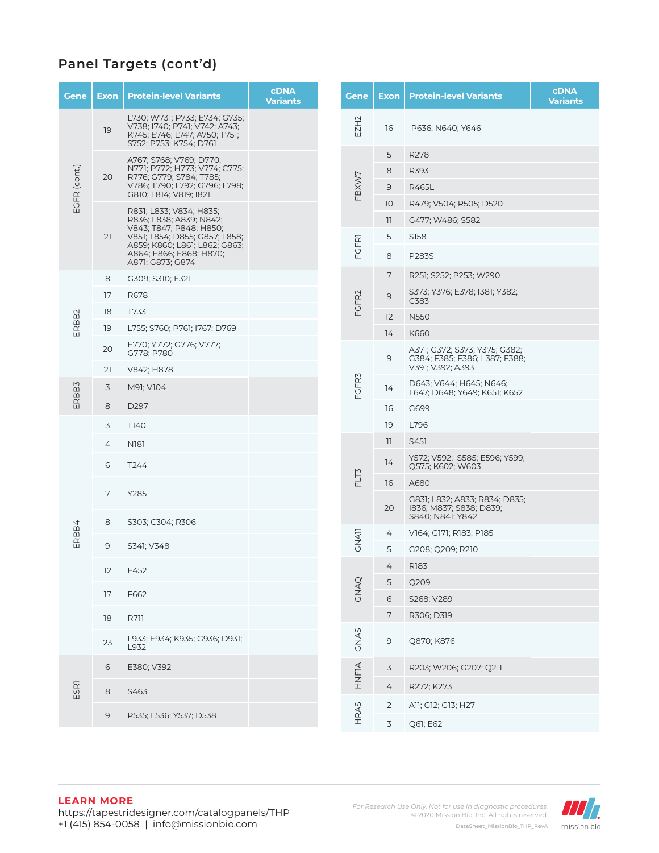| L730; W731; P733; E734; G735;<br>EZH2<br>V738; I740; P741; V742; A743;<br>16<br>P636; N640; Y646<br>19<br>K745; E746; L747; A750; T751;<br>S752; P753; K754; D761<br>5<br>R278<br>A767; S768; V769; D770;<br>EGFR (cont.)<br>N771; P772; H773; V774; C775;<br>R393<br>8<br>FBXW7<br>20<br>R776; G779; S784; T785;<br>V786; T790; L792; G796; L798;<br>9<br>R465L<br>G810; L814; V819; I821<br>10<br>R479; V504; R505; D520<br>R831; L833; V834; H835;<br>R836; L838; A839; N842;<br>$\mathbb{I}$<br>G477; W486; S582<br>V843; T847; P848; H850;<br>21<br>V851; T854; D855; G857; L858;<br>5<br>S158<br><b>FGFRI</b><br>A859; K860; L861; L862; G863;<br>A864; E866; E868; H870;<br>8<br>P283S<br>A871; G873; G874<br>7<br>R251; S252; P253; W290<br>8<br>G309; S310; E321<br>S373; Y376; E378; I381; Y382;<br>FGFR2<br>17<br>R678<br>9<br>C383<br>18<br>T733<br>ERBB2<br>12<br><b>N550</b><br>19<br>L755; S760; P761; I767; D769<br>K660<br>14 |  |
|------------------------------------------------------------------------------------------------------------------------------------------------------------------------------------------------------------------------------------------------------------------------------------------------------------------------------------------------------------------------------------------------------------------------------------------------------------------------------------------------------------------------------------------------------------------------------------------------------------------------------------------------------------------------------------------------------------------------------------------------------------------------------------------------------------------------------------------------------------------------------------------------------------------------------------------------|--|
|                                                                                                                                                                                                                                                                                                                                                                                                                                                                                                                                                                                                                                                                                                                                                                                                                                                                                                                                                |  |
|                                                                                                                                                                                                                                                                                                                                                                                                                                                                                                                                                                                                                                                                                                                                                                                                                                                                                                                                                |  |
|                                                                                                                                                                                                                                                                                                                                                                                                                                                                                                                                                                                                                                                                                                                                                                                                                                                                                                                                                |  |
|                                                                                                                                                                                                                                                                                                                                                                                                                                                                                                                                                                                                                                                                                                                                                                                                                                                                                                                                                |  |
|                                                                                                                                                                                                                                                                                                                                                                                                                                                                                                                                                                                                                                                                                                                                                                                                                                                                                                                                                |  |
|                                                                                                                                                                                                                                                                                                                                                                                                                                                                                                                                                                                                                                                                                                                                                                                                                                                                                                                                                |  |
|                                                                                                                                                                                                                                                                                                                                                                                                                                                                                                                                                                                                                                                                                                                                                                                                                                                                                                                                                |  |
|                                                                                                                                                                                                                                                                                                                                                                                                                                                                                                                                                                                                                                                                                                                                                                                                                                                                                                                                                |  |
|                                                                                                                                                                                                                                                                                                                                                                                                                                                                                                                                                                                                                                                                                                                                                                                                                                                                                                                                                |  |
|                                                                                                                                                                                                                                                                                                                                                                                                                                                                                                                                                                                                                                                                                                                                                                                                                                                                                                                                                |  |
|                                                                                                                                                                                                                                                                                                                                                                                                                                                                                                                                                                                                                                                                                                                                                                                                                                                                                                                                                |  |
|                                                                                                                                                                                                                                                                                                                                                                                                                                                                                                                                                                                                                                                                                                                                                                                                                                                                                                                                                |  |
| E770; Y772; G776; V777;<br>20<br>A371; G372; S373; Y375; G382;<br>G778; P780<br>9<br>G384; F385; F386; L387; F388;                                                                                                                                                                                                                                                                                                                                                                                                                                                                                                                                                                                                                                                                                                                                                                                                                             |  |
| V391; V392; A393<br>21<br>V842; H878                                                                                                                                                                                                                                                                                                                                                                                                                                                                                                                                                                                                                                                                                                                                                                                                                                                                                                           |  |
| FCFR3<br>D643; V644; H645; N646;<br>ERBB3<br>3<br>M91; V104<br>14<br>L647; D648; Y649; K651; K652                                                                                                                                                                                                                                                                                                                                                                                                                                                                                                                                                                                                                                                                                                                                                                                                                                              |  |
| 8<br>D297<br>16<br>G699                                                                                                                                                                                                                                                                                                                                                                                                                                                                                                                                                                                                                                                                                                                                                                                                                                                                                                                        |  |
| 3<br>T140<br>19<br>L796                                                                                                                                                                                                                                                                                                                                                                                                                                                                                                                                                                                                                                                                                                                                                                                                                                                                                                                        |  |
| 11<br>S451<br>N <sub>181</sub><br>4                                                                                                                                                                                                                                                                                                                                                                                                                                                                                                                                                                                                                                                                                                                                                                                                                                                                                                            |  |
| Y572; V592; S585; E596; Y599;<br>14<br>6<br>T <sub>244</sub><br>Q575; K602; W603                                                                                                                                                                                                                                                                                                                                                                                                                                                                                                                                                                                                                                                                                                                                                                                                                                                               |  |
| FLT3<br>16<br>A680                                                                                                                                                                                                                                                                                                                                                                                                                                                                                                                                                                                                                                                                                                                                                                                                                                                                                                                             |  |
| 7<br>Y285<br>G831; L832; A833; R834; D835;<br>20<br>1836; M837; S838; D839;<br>S840; N841; Y842                                                                                                                                                                                                                                                                                                                                                                                                                                                                                                                                                                                                                                                                                                                                                                                                                                                |  |
| 8<br>S303; C304; R306<br>ERBB4<br>4<br>V164; G171; R183; P185                                                                                                                                                                                                                                                                                                                                                                                                                                                                                                                                                                                                                                                                                                                                                                                                                                                                                  |  |
| <b>GNATI</b><br>9<br>S341; V348<br>5<br>G208; Q209; R210                                                                                                                                                                                                                                                                                                                                                                                                                                                                                                                                                                                                                                                                                                                                                                                                                                                                                       |  |
| R183<br>4<br>12<br>E452                                                                                                                                                                                                                                                                                                                                                                                                                                                                                                                                                                                                                                                                                                                                                                                                                                                                                                                        |  |
| 5<br>Q209                                                                                                                                                                                                                                                                                                                                                                                                                                                                                                                                                                                                                                                                                                                                                                                                                                                                                                                                      |  |
| <b>CNAQ</b><br>17<br>F662<br>$\,$ 6 $\,$<br>S268; V289                                                                                                                                                                                                                                                                                                                                                                                                                                                                                                                                                                                                                                                                                                                                                                                                                                                                                         |  |
| 7<br>R306; D319<br>18<br><b>R711</b>                                                                                                                                                                                                                                                                                                                                                                                                                                                                                                                                                                                                                                                                                                                                                                                                                                                                                                           |  |
| GNAS<br>L933; E934; K935; G936; D931;<br>9<br>Q870; K876<br>23<br>L932                                                                                                                                                                                                                                                                                                                                                                                                                                                                                                                                                                                                                                                                                                                                                                                                                                                                         |  |
| 6<br>3<br>E380; V392<br>R203; W206; G207; Q211                                                                                                                                                                                                                                                                                                                                                                                                                                                                                                                                                                                                                                                                                                                                                                                                                                                                                                 |  |
| HNFIA<br><b>ESR1</b><br>$\overline{4}$<br>R272; K273<br>$\,8\,$                                                                                                                                                                                                                                                                                                                                                                                                                                                                                                                                                                                                                                                                                                                                                                                                                                                                                |  |
| S463<br>$\overline{2}$<br>A11; G12; G13; H27                                                                                                                                                                                                                                                                                                                                                                                                                                                                                                                                                                                                                                                                                                                                                                                                                                                                                                   |  |
| HRAS<br>9<br>P535; L536; Y537; D538<br>3<br>Q61; E62                                                                                                                                                                                                                                                                                                                                                                                                                                                                                                                                                                                                                                                                                                                                                                                                                                                                                           |  |

## **LEARN MORE**

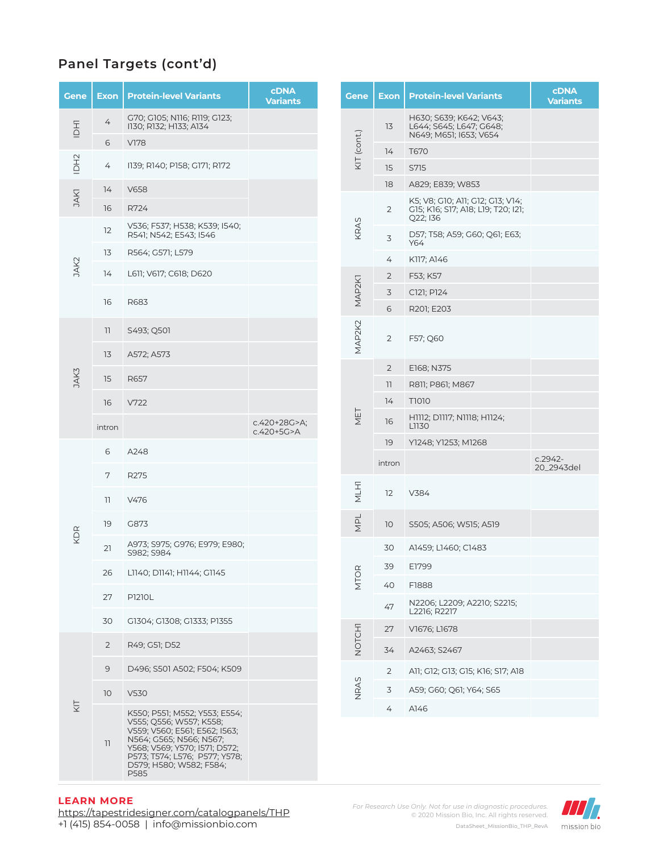| Gene        | Exon            | <b>Protein-level Variants</b>                                                                                                                                                                                             | <b>cDNA</b><br><b>Variants</b> |            | <b>Gene</b>         | <b>Exon</b>                               | <b>Protein-level Variants</b>                                                      | <b>cDNA</b><br><b>Variants</b> |
|-------------|-----------------|---------------------------------------------------------------------------------------------------------------------------------------------------------------------------------------------------------------------------|--------------------------------|------------|---------------------|-------------------------------------------|------------------------------------------------------------------------------------|--------------------------------|
| IDHI        | 4               | G70; G105; N116; R119; G123;<br>1130; R132; H133; A134                                                                                                                                                                    |                                |            |                     | 13                                        | H630; S639; K642; V643;<br>L644; S645; L647; G648;<br>N649; M651; I653; V654       |                                |
|             | 6               | <b>V178</b>                                                                                                                                                                                                               |                                |            | KIT (cont.)         | 14                                        | T670                                                                               |                                |
| IDH2        | 4               | 1139; R140; P158; G171; R172                                                                                                                                                                                              |                                |            |                     | 15                                        | S715                                                                               |                                |
|             | 14              | V658                                                                                                                                                                                                                      |                                |            |                     | 18                                        | A829; E839; W853                                                                   |                                |
| <b>DAKT</b> | 16              | R724                                                                                                                                                                                                                      |                                |            |                     | $\overline{2}$                            | K5; V8; G10; A11; G12; G13; V14;<br>G15; K16; S17; A18; L19; T20; I21;<br>Q22; I36 |                                |
|             | 12              | V536; F537; H538; K539; I540;<br>R541; N542; E543; I546                                                                                                                                                                   |                                |            | KRAS                | 3                                         | D57; T58; A59; G60; Q61; E63;<br>Y64                                               |                                |
|             | 13              | R564; G571; L579                                                                                                                                                                                                          |                                |            |                     | 4                                         | K117; A146                                                                         |                                |
| JAK2        | 14              | L611; V617; C618; D620                                                                                                                                                                                                    |                                |            |                     | 2                                         | F53; K57                                                                           |                                |
|             |                 |                                                                                                                                                                                                                           |                                |            | MAP <sub>2K</sub> 1 | 3                                         | C121; P124                                                                         |                                |
|             | 16              | R683                                                                                                                                                                                                                      |                                |            |                     | 6                                         | R201; E203                                                                         |                                |
|             | 11              | S493; Q501                                                                                                                                                                                                                |                                |            | MAP2K2              | $\overline{2}$                            | F57; Q60                                                                           |                                |
|             | 13              | A572; A573                                                                                                                                                                                                                |                                |            |                     |                                           |                                                                                    |                                |
| JAK3        | 15              | R657                                                                                                                                                                                                                      |                                |            |                     | $\overline{2}$<br>$\overline{\mathbf{1}}$ | E168; N375<br>R811; P861; M867                                                     |                                |
|             | 16              | V722                                                                                                                                                                                                                      |                                |            |                     | 14                                        | T1010                                                                              |                                |
|             | intron          |                                                                                                                                                                                                                           | c.420+28G>A;                   | c.420+5G>A | NET                 | 16                                        | H1112; D1117; N1118; H1124;<br>L1130                                               |                                |
|             |                 |                                                                                                                                                                                                                           |                                |            |                     | 19                                        | Y1248; Y1253; M1268                                                                |                                |
|             | 6               | A248                                                                                                                                                                                                                      |                                |            |                     | intron                                    |                                                                                    | $c.2942-$<br>20_2943del        |
|             | 7               | R275                                                                                                                                                                                                                      |                                |            |                     |                                           |                                                                                    |                                |
|             | H               | V476                                                                                                                                                                                                                      |                                |            | <b>LHTM</b>         | 12                                        | V384                                                                               |                                |
| KDR         | 19              | G873                                                                                                                                                                                                                      |                                |            | NPL                 | 10                                        | S505; A506; W515; A519                                                             |                                |
|             | 21              | A973; S975; G976; E979; E980;<br>S982; S984                                                                                                                                                                               |                                |            |                     | 30                                        | A1459; L1460; C1483                                                                |                                |
|             | 26              | L1140; D1141; H1144; G1145                                                                                                                                                                                                |                                |            |                     | 39                                        | E1799                                                                              |                                |
|             |                 |                                                                                                                                                                                                                           |                                |            | <b>MTOR</b>         | 40                                        | F1888                                                                              |                                |
|             | 27              | P1210L                                                                                                                                                                                                                    |                                |            |                     | 47                                        | N2206; L2209; A2210; S2215;<br>L2216; R2217                                        |                                |
|             | 30              | G1304; G1308; G1333; P1355                                                                                                                                                                                                |                                |            |                     | 27                                        | V1676; L1678                                                                       |                                |
|             | $\overline{2}$  | R49; G51; D52                                                                                                                                                                                                             |                                |            | NOTCHI              | 34                                        | A2463; S2467                                                                       |                                |
|             | $\mathcal{G}$   | D496; S501 A502; F504; K509                                                                                                                                                                                               |                                |            |                     | 2                                         | A11; G12; G13; G15; K16; S17; A18                                                  |                                |
|             | 10 <sup>°</sup> | V530                                                                                                                                                                                                                      |                                | NRAS       |                     | 3                                         | A59; G60; Q61; Y64; S65                                                            |                                |
| KΙ          | 11              | K550; P551; M552; Y553; E554;<br>V555; Q556; W557; K558;<br>V559; V560; E561; E562; I563;<br>N564; G565; N566; N567;<br>Y568; V569; Y570; I571; D572;<br>P573; T574; L576; P577; Y578;<br>D579; H580; W582; F584;<br>P585 |                                |            |                     | 4                                         | A146                                                                               |                                |

## **LEARN MORE**

https://tapestridesigner.com/catalogpanels/THP +1 (415) 854-0058 | info@missionbio.com

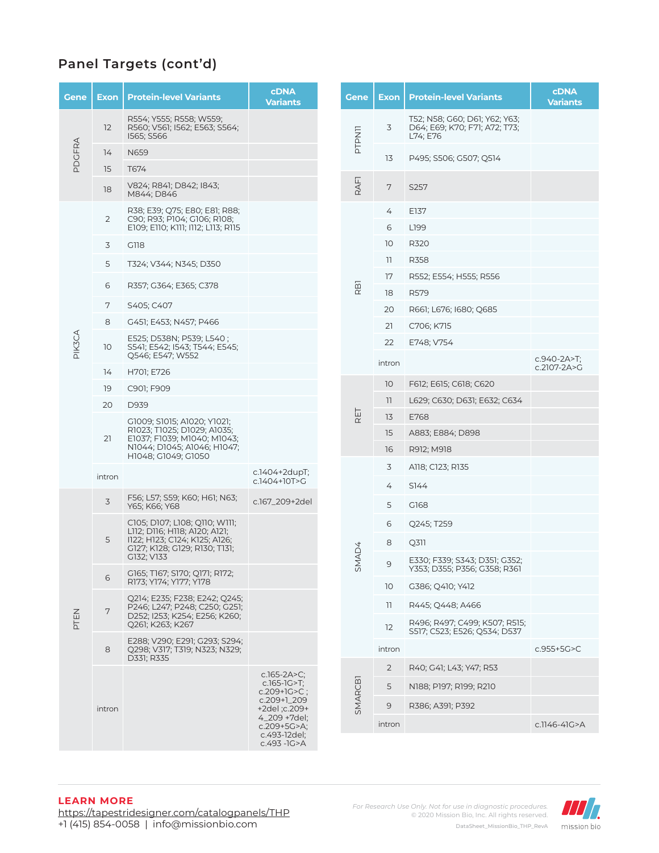| Gene   | <b>Exon</b>     | <b>Protein-level Variants</b>                                                                   | <b>CDNA</b><br><b>Variants</b>    |  | Gene            | Exon            | <b>Protein-level Variants</b>                                              | <b>cDNA</b><br><b>Variants</b> |
|--------|-----------------|-------------------------------------------------------------------------------------------------|-----------------------------------|--|-----------------|-----------------|----------------------------------------------------------------------------|--------------------------------|
|        | 12              | R554; Y555; R558; W559;<br>R560; V561; I562; E563; S564;<br>I565; S566                          |                                   |  | <b>PTPN11</b>   | 3               | T52; N58; G60; D61; Y62; Y63;<br>D64; E69; K70; F71; A72; T73;<br>L74; E76 |                                |
| PDGFRA | 14              | N659                                                                                            |                                   |  |                 | 13              | P495; S506; G507; Q514                                                     |                                |
|        | 15              | T674                                                                                            |                                   |  |                 |                 |                                                                            |                                |
|        | 18              | V824; R841; D842; I843;<br>M844; D846                                                           |                                   |  | RAFI            | 7               | S257                                                                       |                                |
|        | $\overline{2}$  | R38; E39; Q75; E80; E81; R88;<br>C90; R93; P104; G106; R108;                                    |                                   |  |                 | 4               | E137                                                                       |                                |
|        |                 | E109; E110; K111; I112; L113; R115                                                              |                                   |  |                 | 6               | L199                                                                       |                                |
|        | 3               | G118                                                                                            |                                   |  |                 | 10 <sup>°</sup> | <b>R320</b>                                                                |                                |
|        | 5               | T324; V344; N345; D350                                                                          |                                   |  |                 | 11              | <b>R358</b>                                                                |                                |
|        | 6               | R357; G364; E365; C378                                                                          |                                   |  |                 | 17              | R552; E554; H555; R556                                                     |                                |
|        |                 |                                                                                                 |                                   |  | RB <sub>1</sub> | 18              | R579                                                                       |                                |
|        | 7               | S405: C407                                                                                      |                                   |  |                 | 20              | R661; L676; 1680; Q685                                                     |                                |
|        | 8               | G451; E453; N457; P466                                                                          |                                   |  |                 | 21              | C706; K715                                                                 |                                |
| PIK3CA | 10 <sup>°</sup> | E525; D538N; P539; L540;<br>S541; E542; I543; T544; E545;                                       |                                   |  |                 | 22              | E748; V754                                                                 |                                |
|        | 14              | Q546; E547; W552<br>H701; E726                                                                  |                                   |  |                 | intron          |                                                                            | c.940-2A>T;<br>c.2107-2A>G     |
|        | 19              | C901; F909                                                                                      |                                   |  |                 | 10              | F612; E615; C618; C620                                                     |                                |
|        | 20              | D939                                                                                            |                                   |  |                 | $\mathbb{I}$    | L629; C630; D631; E632; C634                                               |                                |
|        |                 | G1009; S1015; A1020; Y1021;                                                                     |                                   |  | RET             | 13              | E768                                                                       |                                |
|        | 21              | R1023; T1025; D1029; A1035;<br>E1037; F1039; M1040; M1043;                                      |                                   |  |                 | 15              | A883; E884; D898                                                           |                                |
|        |                 | N1044; D1045; A1046; H1047;<br>H1048; G1049; G1050                                              |                                   |  |                 | 16              | R912; M918                                                                 |                                |
|        |                 |                                                                                                 | c.1404+2dupT;                     |  |                 | 3               | A118; C123; R135                                                           |                                |
|        | intron          |                                                                                                 | c.1404+10T>G                      |  |                 | 4               | S144                                                                       |                                |
|        | 3               | F56; L57; S59; K60; H61; N63;<br>Y65; K66; Y68                                                  | c.167_209+2del                    |  |                 | 5               | G168                                                                       |                                |
|        |                 | C105; D107; L108; Q110; W111;                                                                   |                                   |  |                 | 6               | Q245; T259                                                                 |                                |
|        | 5               | L112; D116; H118; A120; A121;<br>I122; H123; C124; K125; A126;<br>G127; K128; G129; R130; T131; |                                   |  |                 | 8               | Q <sub>311</sub>                                                           |                                |
|        |                 | G132; V133<br>G165; T167; S170; Q171; R172;                                                     |                                   |  | SMAD4           | $\mathcal{Q}$   | E330; F339; S343; D351; G352;<br>Y353; D355; P356; G358; R361              |                                |
|        | 6               | R173; Y174; Y177; Y178                                                                          |                                   |  |                 | 10 <sup>°</sup> | G386; Q410; Y412                                                           |                                |
|        | 7               | Q214; E235; F238; E242; Q245;<br>P246; L247; P248; C250; G251;                                  |                                   |  |                 | 11              | R445; Q448; A466                                                           |                                |
| PTEN   |                 | D252; I253; K254; E256; K260;<br>Q261; K263; K267                                               |                                   |  |                 | 12              | R496; R497; C499; K507; R515;<br>S517; C523; E526; Q534; D537              |                                |
|        | 8               | E288; V290; E291; G293; S294;<br>Q298; V317; T319; N323; N329;                                  |                                   |  |                 | intron          |                                                                            | c.955+5G>C                     |
|        |                 | D331; R335                                                                                      | c.165-2A $>$ C;                   |  |                 | $\overline{2}$  | R40; G41; L43; Y47; R53                                                    |                                |
|        |                 |                                                                                                 | $c.165-1G > T$ ;<br>c.209+1G>C;   |  | SMARCBI         | 5               | N188; P197; R199; R210                                                     |                                |
|        | intron          |                                                                                                 | c.209+1_209<br>+2del ;c.209+      |  |                 | 9               | R386; A391; P392                                                           |                                |
|        |                 |                                                                                                 | 4_209 +7del;<br>$c.209 + 5G > A;$ |  |                 | intron          |                                                                            | c.1146-41G>A                   |
|        |                 |                                                                                                 | c.493-12del;<br>c.493 - IG>A      |  |                 |                 |                                                                            |                                |
|        |                 |                                                                                                 |                                   |  |                 |                 |                                                                            |                                |

## **LEARN MORE**

https://tapestridesigner.com/catalogpanels/THP +1 (415) 854-0058 | info@missionbio.com

*For Research Use Only. Not for use in diagnostic procedures.* © 2020 Mission Bio, Inc. All rights reserved. DataSheet\_MissionBio\_THP\_RevA